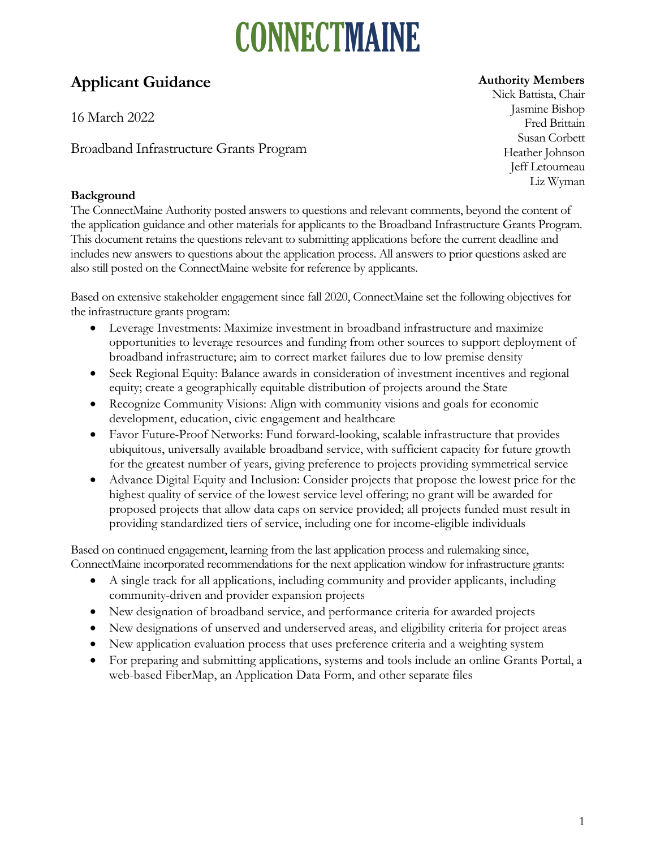# CONNECTMAINE

### **Applicant Guidance**

16 March 2022

Broadband Infrastructure Grants Program

### **Background**

#### **Authority Members**

Nick Battista, Chair Jasmine Bishop Fred Brittain Susan Corbett Heather Johnson Jeff Letourneau Liz Wyman

The ConnectMaine Authority posted answers to questions and relevant comments, beyond the content of the application guidance and other materials for applicants to the Broadband Infrastructure Grants Program. This document retains the questions relevant to submitting applications before the current deadline and includes new answers to questions about the application process. All answers to prior questions asked are also still posted on the ConnectMaine website for reference by applicants.

Based on extensive stakeholder engagement since fall 2020, ConnectMaine set the following objectives for the infrastructure grants program:

- Leverage Investments: Maximize investment in broadband infrastructure and maximize opportunities to leverage resources and funding from other sources to support deployment of broadband infrastructure; aim to correct market failures due to low premise density
- Seek Regional Equity: Balance awards in consideration of investment incentives and regional equity; create a geographically equitable distribution of projects around the State
- Recognize Community Visions: Align with community visions and goals for economic development, education, civic engagement and healthcare
- Favor Future-Proof Networks: Fund forward-looking, scalable infrastructure that provides ubiquitous, universally available broadband service, with sufficient capacity for future growth for the greatest number of years, giving preference to projects providing symmetrical service
- Advance Digital Equity and Inclusion: Consider projects that propose the lowest price for the highest quality of service of the lowest service level offering; no grant will be awarded for proposed projects that allow data caps on service provided; all projects funded must result in providing standardized tiers of service, including one for income-eligible individuals

Based on continued engagement, learning from the last application process and rulemaking since, ConnectMaine incorporated recommendations for the next application window for infrastructure grants:

- A single track for all applications, including community and provider applicants, including community-driven and provider expansion projects
- New designation of broadband service, and performance criteria for awarded projects
- New designations of unserved and underserved areas, and eligibility criteria for project areas
- New application evaluation process that uses preference criteria and a weighting system
- For preparing and submitting applications, systems and tools include an online Grants Portal, a web-based FiberMap, an Application Data Form, and other separate files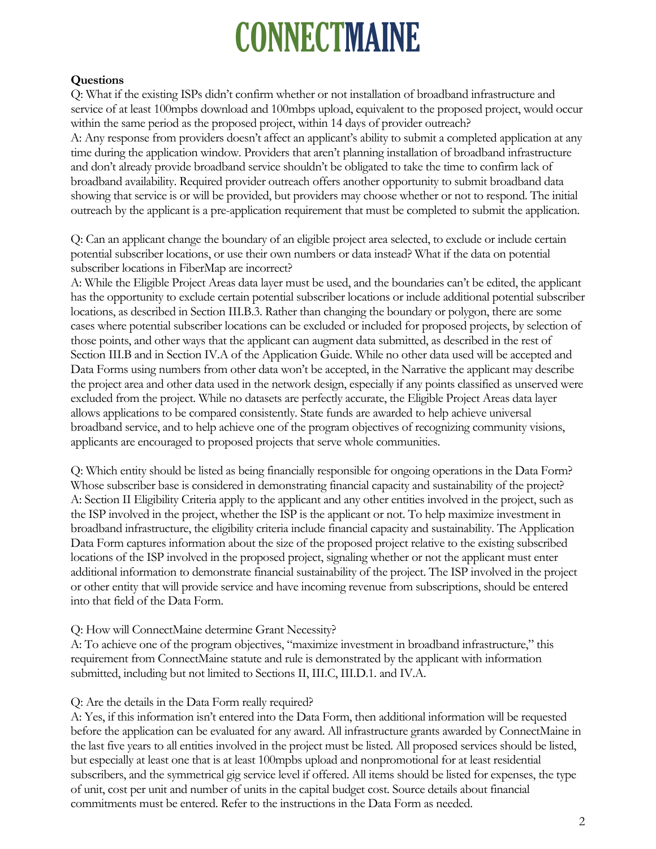## **CONNECTMAINE**

#### **Questions**

Q: What if the existing ISPs didn't confirm whether or not installation of broadband infrastructure and service of at least 100mpbs download and 100mbps upload, equivalent to the proposed project, would occur within the same period as the proposed project, within 14 days of provider outreach? A: Any response from providers doesn't affect an applicant's ability to submit a completed application at any time during the application window. Providers that aren't planning installation of broadband infrastructure and don't already provide broadband service shouldn't be obligated to take the time to confirm lack of broadband availability. Required provider outreach offers another opportunity to submit broadband data showing that service is or will be provided, but providers may choose whether or not to respond. The initial outreach by the applicant is a pre-application requirement that must be completed to submit the application.

Q: Can an applicant change the boundary of an eligible project area selected, to exclude or include certain potential subscriber locations, or use their own numbers or data instead? What if the data on potential subscriber locations in FiberMap are incorrect?

A: While the Eligible Project Areas data layer must be used, and the boundaries can't be edited, the applicant has the opportunity to exclude certain potential subscriber locations or include additional potential subscriber locations, as described in Section III.B.3. Rather than changing the boundary or polygon, there are some cases where potential subscriber locations can be excluded or included for proposed projects, by selection of those points, and other ways that the applicant can augment data submitted, as described in the rest of Section III.B and in Section IV.A of the Application Guide. While no other data used will be accepted and Data Forms using numbers from other data won't be accepted, in the Narrative the applicant may describe the project area and other data used in the network design, especially if any points classified as unserved were excluded from the project. While no datasets are perfectly accurate, the Eligible Project Areas data layer allows applications to be compared consistently. State funds are awarded to help achieve universal broadband service, and to help achieve one of the program objectives of recognizing community visions, applicants are encouraged to proposed projects that serve whole communities.

Q: Which entity should be listed as being financially responsible for ongoing operations in the Data Form? Whose subscriber base is considered in demonstrating financial capacity and sustainability of the project? A: Section II Eligibility Criteria apply to the applicant and any other entities involved in the project, such as the ISP involved in the project, whether the ISP is the applicant or not. To help maximize investment in broadband infrastructure, the eligibility criteria include financial capacity and sustainability. The Application Data Form captures information about the size of the proposed project relative to the existing subscribed locations of the ISP involved in the proposed project, signaling whether or not the applicant must enter additional information to demonstrate financial sustainability of the project. The ISP involved in the project or other entity that will provide service and have incoming revenue from subscriptions, should be entered into that field of the Data Form.

#### Q: How will ConnectMaine determine Grant Necessity?

A: To achieve one of the program objectives, "maximize investment in broadband infrastructure," this requirement from ConnectMaine statute and rule is demonstrated by the applicant with information submitted, including but not limited to Sections II, III.C, III.D.1. and IV.A.

#### Q: Are the details in the Data Form really required?

A: Yes, if this information isn't entered into the Data Form, then additional information will be requested before the application can be evaluated for any award. All infrastructure grants awarded by ConnectMaine in the last five years to all entities involved in the project must be listed. All proposed services should be listed, but especially at least one that is at least 100mpbs upload and nonpromotional for at least residential subscribers, and the symmetrical gig service level if offered. All items should be listed for expenses, the type of unit, cost per unit and number of units in the capital budget cost. Source details about financial commitments must be entered. Refer to the instructions in the Data Form as needed.